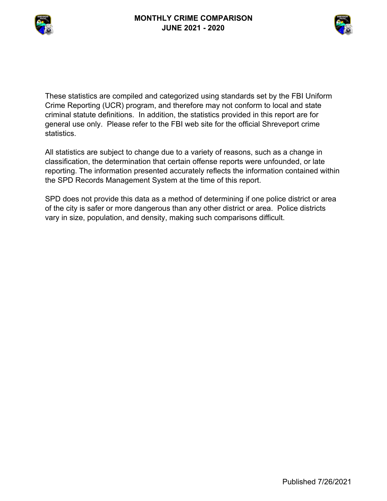



These statistics are compiled and categorized using standards set by the FBI Uniform Crime Reporting (UCR) program, and therefore may not conform to local and state criminal statute definitions. In addition, the statistics provided in this report are for general use only. Please refer to the FBI web site for the official Shreveport crime statistics.

All statistics are subject to change due to a variety of reasons, such as a change in classification, the determination that certain offense reports were unfounded, or late reporting. The information presented accurately reflects the information contained within the SPD Records Management System at the time of this report.

SPD does not provide this data as a method of determining if one police district or area of the city is safer or more dangerous than any other district or area. Police districts vary in size, population, and density, making such comparisons difficult.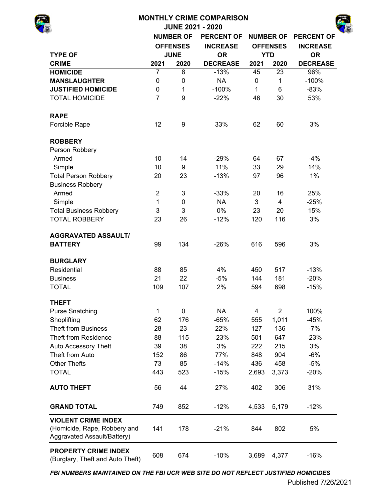|                                                                                           |                                                      |                  | <b>JUNE 2021 - 2020</b> |           |                  |                   |
|-------------------------------------------------------------------------------------------|------------------------------------------------------|------------------|-------------------------|-----------|------------------|-------------------|
|                                                                                           |                                                      | <b>NUMBER OF</b> | <b>PERCENT OF</b>       |           | <b>NUMBER OF</b> | <b>PERCENT OF</b> |
|                                                                                           |                                                      | <b>OFFENSES</b>  | <b>INCREASE</b>         |           | <b>OFFENSES</b>  | <b>INCREASE</b>   |
| <b>TYPE OF</b>                                                                            |                                                      | <b>JUNE</b>      | <b>OR</b>               |           | <b>YTD</b>       | <b>OR</b>         |
| <b>CRIME</b>                                                                              | 2021                                                 | 2020             | <b>DECREASE</b>         | 2021      | 2020             | <b>DECREASE</b>   |
| <b>HOMICIDE</b>                                                                           | 7                                                    | 8                | $-13%$                  | 45        | 23               | 96%               |
| <b>MANSLAUGHTER</b>                                                                       | $\pmb{0}$                                            | 0                | <b>NA</b>               | $\pmb{0}$ | 1                | $-100%$           |
| <b>JUSTIFIED HOMICIDE</b>                                                                 | $\mathbf 0$                                          | $\mathbf{1}$     | $-100%$                 | 1         | 6                | $-83%$            |
| <b>TOTAL HOMICIDE</b>                                                                     | $\overline{7}$                                       | 9                | $-22%$                  | 46        | 30               | 53%               |
| <b>RAPE</b>                                                                               |                                                      |                  |                         |           |                  |                   |
| Forcible Rape                                                                             | 12                                                   | 9                | 33%                     | 62        | 60               | 3%                |
| <b>ROBBERY</b>                                                                            |                                                      |                  |                         |           |                  |                   |
| Person Robbery                                                                            |                                                      |                  |                         |           |                  |                   |
| Armed                                                                                     | 10                                                   | 14               | $-29%$                  | 64        | 67               | $-4%$             |
| Simple                                                                                    | 10<br>9<br>20<br>23<br>3<br>$\overline{2}$<br>1<br>0 |                  | 11%                     | 33        | 29               | 14%               |
| <b>Total Person Robbery</b>                                                               |                                                      |                  | $-13%$                  | 97        | 96               | 1%                |
| <b>Business Robbery</b>                                                                   |                                                      |                  |                         |           |                  |                   |
| Armed                                                                                     |                                                      |                  | $-33%$                  | 20        | 16               | 25%               |
| Simple                                                                                    |                                                      |                  | <b>NA</b>               | 3         | $\overline{4}$   | $-25%$            |
| <b>Total Business Robbery</b>                                                             | 3                                                    | 3                | 0%                      | 23        | 20               | 15%               |
| <b>TOTAL ROBBERY</b>                                                                      | 23                                                   | 26               | $-12%$                  | 120       | 116              | 3%                |
| <b>AGGRAVATED ASSAULT/</b>                                                                |                                                      |                  |                         |           |                  |                   |
| <b>BATTERY</b>                                                                            | 99                                                   | 134              | $-26%$                  | 616       | 596              | 3%                |
| <b>BURGLARY</b>                                                                           |                                                      |                  |                         |           |                  |                   |
| Residential                                                                               | 88                                                   | 85               | 4%                      | 450       | 517              | $-13%$            |
| <b>Business</b>                                                                           | 21                                                   | 22               | $-5%$                   | 144       | 181              | $-20%$            |
| <b>TOTAL</b>                                                                              | 109                                                  | 107              | 2%                      | 594       | 698              | $-15%$            |
| THEFT                                                                                     |                                                      |                  |                         |           | $\overline{2}$   |                   |
| <b>Purse Snatching</b>                                                                    | 1                                                    | 0                | <b>NA</b>               | 4         |                  | 100%              |
| Shoplifting<br><b>Theft from Business</b>                                                 | 62                                                   | 176              | $-65%$                  | 555       | 1,011            | $-45%$            |
|                                                                                           | 28                                                   | 23               | 22%                     | 127       | 136              | $-7%$             |
| <b>Theft from Residence</b>                                                               | 88                                                   | 115              | $-23%$                  | 501       | 647              | $-23%$            |
| Auto Accessory Theft                                                                      | 39                                                   | 38               | 3%                      | 222       | 215              | 3%                |
| Theft from Auto                                                                           | 152                                                  | 86               | 77%                     | 848       | 904              | $-6%$             |
| <b>Other Thefts</b>                                                                       | 73                                                   | 85               | $-14%$                  | 436       | 458              | $-5%$             |
| <b>TOTAL</b>                                                                              | 443                                                  | 523              | $-15%$                  | 2,693     | 3,373            | $-20%$            |
| <b>AUTO THEFT</b>                                                                         | 56                                                   | 44               | 27%                     | 402       | 306              | 31%               |
| <b>GRAND TOTAL</b>                                                                        | 749                                                  | 852              | $-12%$                  | 4,533     | 5,179            | $-12%$            |
| <b>VIOLENT CRIME INDEX</b><br>(Homicide, Rape, Robbery and<br>Aggravated Assault/Battery) | 141                                                  | 178              | $-21%$                  | 844       | 802              | 5%                |
| <b>PROPERTY CRIME INDEX</b>                                                               | eno.                                                 | <b>671</b>       | 100 <sub>l</sub>        |           | $2600 + 277$     | 160/              |

**MONTHLY CRIME COMPARISON**

*FBI NUMBERS MAINTAINED ON THE FBI UCR WEB SITE DO NOT REFLECT JUSTIFIED HOMICIDES*

(Burglary, Theft and Auto Theft)

608 674 -10% 3,689 4,377 -16%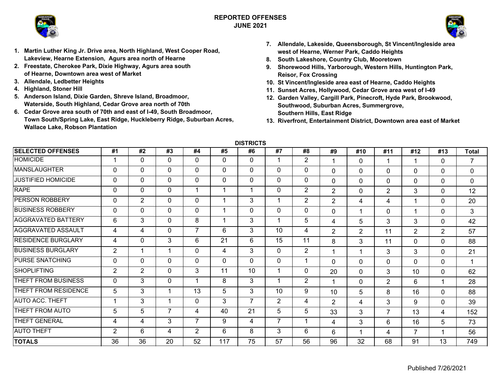

## **REPORTED OFFENSESJUNE 2021**



- **1. Martin Luther King Jr. Drive area, North Highland, West Cooper Road, Lakeview, Hearne Extension, Agurs area north of Hearne**
- **2. Freestate, Cherokee Park, Dixie Highway, Agurs area south of Hearne, Downtown area west of Market**
- **3. Allendale, Ledbetter Heights**
- **4. Highland, Stoner Hill**
- **5. Anderson Island, Dixie Garden, Shreve Island, Broadmoor, Waterside, South Highland, Cedar Grove area north of 70th**
- **6. Cedar Grove area south of 70th and east of I-49, South Broadmoor, Town South/Spring Lake, East Ridge, Huckleberry Ridge, Suburban Acres, Wallace Lake, Robson Plantation**
- **7. Allendale, Lakeside, Queensborough, St Vincent/Ingleside area west of Hearne, Werner Park, Caddo Heights**
- **8. South Lakeshore, Country Club, Mooretown**
- **9. Shorewood Hills, Yarborough, Western Hills, Huntington Park, Reisor, Fox Crossing**
- **10. St Vincent/Ingleside area east of Hearne, Caddo Heights**
- **11. Sunset Acres, Hollywood, Cedar Grove area west of I-49**
- **12. Garden Valley, Cargill Park, Pinecroft, Hyde Park, Brookwood, Southwood, Suburban Acres, Summergrove, Southern Hills, East Ridge**
- **13. Riverfront, Entertainment District, Downtown area east of Market**

**DISTRICTS**

| <b>SELECTED OFFENSES</b>  | #1             | #2             | #3             | #4             | #5          | #6             | #7             | #8             | #9             | #10            | #11            | #12            | #13            | <b>Total</b>   |
|---------------------------|----------------|----------------|----------------|----------------|-------------|----------------|----------------|----------------|----------------|----------------|----------------|----------------|----------------|----------------|
| <b>HOMICIDE</b>           |                | $\mathbf 0$    | $\mathbf{0}$   | $\Omega$       | $\Omega$    | $\mathbf 0$    |                | $\overline{2}$ | 1              | $\Omega$       | 1              |                | $\Omega$       | $\overline{7}$ |
| <b>MANSLAUGHTER</b>       | 0              | 0              | 0              | $\Omega$       | $\Omega$    | $\mathbf 0$    | $\Omega$       | $\mathbf 0$    | $\mathbf 0$    | $\Omega$       | 0              | $\mathbf 0$    | 0              | $\mathbf{0}$   |
| <b>JUSTIFIED HOMICIDE</b> | 0              | 0              | 0              | 0              | $\mathbf 0$ | $\mathbf 0$    | $\Omega$       | 0              | $\mathbf 0$    | $\mathbf{0}$   | 0              | $\mathbf 0$    | $\Omega$       | $\mathbf{0}$   |
| <b>RAPE</b>               | $\mathbf{0}$   | $\mathbf 0$    | $\mathbf 0$    |                | 4           | 1              | $\Omega$       | $\overline{2}$ | 2              | $\Omega$       | 2              | 3              | 0              | 12             |
| <b>PERSON ROBBERY</b>     | $\mathbf 0$    | $\overline{2}$ | $\Omega$       | $\Omega$       |             | 3              |                | $\overline{2}$ | $\overline{2}$ | 4              | 4              |                | $\Omega$       | 20             |
| <b>BUSINESS ROBBERY</b>   | $\mathbf{0}$   | $\mathbf{0}$   | $\Omega$       | $\mathbf{0}$   | 4           | 0              | $\Omega$       | 0              | $\mathbf 0$    |                | 0              |                | 0              | 3              |
| <b>AGGRAVATED BATTERY</b> | 6              | 3              | $\Omega$       | 8              |             | 3              |                | 5              | 4              | 5              | 3              | 3              | 0              | 42             |
| <b>AGGRAVATED ASSAULT</b> | 4              | 4              | $\Omega$       | 7              | 6           | 3              | 10             | 4              | $\overline{2}$ | $\overline{2}$ | 11             | $\overline{2}$ | $\overline{2}$ | 57             |
| <b>RESIDENCE BURGLARY</b> | 4              | 0              | 3              | 6              | 21          | 6              | 15             | 11             | 8              | 3              | 11             | 0              | $\mathbf{0}$   | 88             |
| <b>BUSINESS BURGLARY</b>  | $\overline{2}$ | 1              | 1              | $\Omega$       | 4           | 3              | $\Omega$       | $\overline{2}$ | 1              |                | 3              | 3              | $\mathbf{0}$   | 21             |
| <b>PURSE SNATCHING</b>    | 0              | $\mathbf{0}$   | $\mathbf{0}$   | 0              | $\Omega$    | 0              | $\Omega$       |                | $\Omega$       | $\Omega$       | $\Omega$       | $\Omega$       | 0              | 1              |
| <b>SHOPLIFTING</b>        | $\overline{2}$ | $\overline{2}$ | $\mathbf{0}$   | 3              | 11          | 10             |                | 0              | 20             | $\Omega$       | 3              | 10             | $\mathbf{0}$   | 62             |
| THEFT FROM BUSINESS       | 0              | 3              | 0              |                | 8           | 3              |                | $\overline{2}$ | 1              | $\Omega$       | 2              | 6              | 1              | 28             |
| THEFT FROM RESIDENCE      | 5              | 3              | 1              | 13             | 5           | 3              | 10             | 9              | 10             | 5              | 8              | 16             | $\Omega$       | 88             |
| <b>AUTO ACC. THEFT</b>    |                | 3              | -1             | $\mathbf{0}$   | 3           | $\overline{7}$ | $\overline{2}$ | 4              | $\overline{2}$ | 4              | 3              | 9              | $\Omega$       | 39             |
| THEFT FROM AUTO           | 5              | 5              | $\overline{7}$ | 4              | 40          | 21             | 5              | 5              | 33             | 3              | $\overline{7}$ | 13             | 4              | 152            |
| THEFT GENERAL             | 4              | 4              | 3              | $\overline{7}$ | 9           | 4              | 7              |                | 4              | 3              | 6              | 16             | 5              | 73             |
| <b>AUTO THEFT</b>         | $\overline{2}$ | 6              | 4              | 2              | 6           | 8              | 3              | 6              | 6              |                | 4              | $\overline{7}$ |                | 56             |
| <b>TOTALS</b>             | 36             | 36             | 20             | 52             | 117         | 75             | 57             | 56             | 96             | 32             | 68             | 91             | 13             | 749            |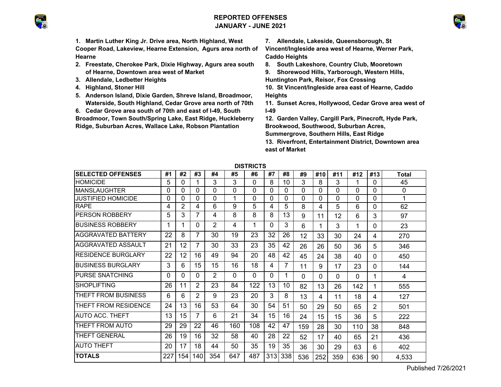# **REPORTED OFFENSESJANUARY - JUNE 2021**





**1. Martin Luther King Jr. Drive area, North Highland, West Cooper Road, Lakeview, Hearne Extension, Agurs area north of Hearne**

- **2. Freestate, Cherokee Park, Dixie Highway, Agurs area south of Hearne, Downtown area west of Market**
- **3. Allendale, Ledbetter Heights**
- **4. Highland, Stoner Hill**
- **5. Anderson Island, Dixie Garden, Shreve Island, Broadmoor, Waterside, South Highland, Cedar Grove area north of 70th**
- **6. Cedar Grove area south of 70th and east of I-49, South**

**Broadmoor, Town South/Spring Lake, East Ridge, Huckleberry Ridge, Suburban Acres, Wallace Lake, Robson Plantation** 

**7. Allendale, Lakeside, Queensborough, St** 

**Vincent/Ingleside area west of Hearne, Werner Park, Caddo Heights**

**8. South Lakeshore, Country Club, Mooretown**

**9. Shorewood Hills, Yarborough, Western Hills,** 

**Huntington Park, Reisor, Fox Crossing**

- **10. St Vincent/Ingleside area east of Hearne, Caddo Heights**
- **11. Sunset Acres, Hollywood, Cedar Grove area west of I-49**
- **12. Garden Valley, Cargill Park, Pinecroft, Hyde Park, Brookwood, Southwood, Suburban Acres, Summergrove, Southern Hills, East Ridge**

**13. Riverfront, Entertainment District, Downtown area east of Market**

|                           |     |                |                |          |     | изікісіз |     |                |          |          |          |          |          |       |  |  |  |  |
|---------------------------|-----|----------------|----------------|----------|-----|----------|-----|----------------|----------|----------|----------|----------|----------|-------|--|--|--|--|
| <b>SELECTED OFFENSES</b>  | #1  | #2             | #3             | #4       | #5  | #6       | #7  | #8             | #9       | #10      | #11      | #12      | #13      | Total |  |  |  |  |
| <b>HOMICIDE</b>           | 5   | 0              |                | 3        | 3   | 0        | 8   | 10             | 3        | 8        | 3        |          | 0        | 45    |  |  |  |  |
| <b>MANSLAUGHTER</b>       | 0   | 0              | 0              | $\Omega$ | 0   | 0        | 0   | $\Omega$       | 0        | 0        | 0        | $\Omega$ | 0        | 0     |  |  |  |  |
| JUSTIFIED HOMICIDE        | 0   | 0              | 0              | $\Omega$ |     | 0        | 0   | $\Omega$       | 0        | 0        | 0        | 0        | $\Omega$ | 1     |  |  |  |  |
| <b>RAPE</b>               | 4   | $\overline{2}$ | 4              | 6        | 9   | 5        | 4   | 5              | 8        | 4        | 5        | 6        | 0        | 62    |  |  |  |  |
| <b>PERSON ROBBERY</b>     | 5   | 3              | 7              | 4        | 8   | 8        | 8   | 13             | 9        | 11       | 12       | 6        | 3        | 97    |  |  |  |  |
| <b>BUSINESS ROBBERY</b>   | 1   | 1              | 0              | 2        | 4   | 1        | 0   | 3              | 6        | 1        | 3        | 1        | 0        | 23    |  |  |  |  |
| AGGRAVATED BATTERY        | 22  | 8              | 7              | 30       | 19  | 23       | 32  | 26             | 12       | 33       | 30       | 24       | 4        | 270   |  |  |  |  |
| AGGRAVATED ASSAULT        | 21  | 12             | 7              | 30       | 33  | 23       | 35  | 42             | 26       | 26       | 50       | 36       | 5        | 346   |  |  |  |  |
| <b>RESIDENCE BURGLARY</b> | 22  | 12             | 16             | 49       | 94  | 20       | 48  | 42             | 45       | 24       | 38       | 40       | 0        | 450   |  |  |  |  |
| <b>BUSINESS BURGLARY</b>  | 3   | 6              | 15             | 15       | 16  | 18       | 4   | $\overline{7}$ | 11       | 9        | 17       | 23       | 0        | 144   |  |  |  |  |
| <b>PURSE SNATCHING</b>    | 0   | 0              | 0              | 2        | 0   | 0        | 0   | 1              | $\Omega$ | $\Omega$ | $\Omega$ | $\Omega$ | 1        | 4     |  |  |  |  |
| <b>SHOPLIFTING</b>        | 26  | 11             | 2              | 23       | 84  | 122      | 13  | 10             | 82       | 13       | 26       | 142      | 1        | 555   |  |  |  |  |
| THEFT FROM BUSINESS       | 6   | 6              | 2              | 9        | 23  | 20       | 3   | 8              | 13       | 4        | 11       | 18       | 4        | 127   |  |  |  |  |
| THEFT FROM RESIDENCE      | 24  | 13             | 16             | 53       | 64  | 30       | 54  | 51             | 50       | 29       | 50       | 65       | 2        | 501   |  |  |  |  |
| <b>AUTO ACC. THEFT</b>    | 13  | 15             | $\overline{7}$ | 6        | 21  | 34       | 15  | 16             | 24       | 15       | 15       | 36       | 5        | 222   |  |  |  |  |
| THEFT FROM AUTO           | 29  | 29             | 22             | 46       | 160 | 108      | 42  | 47             | 159      | 28       | 30       | 110      | 38       | 848   |  |  |  |  |
| <b>THEFT GENERAL</b>      | 26  | 19             | 16             | 32       | 58  | 40       | 28  | 22             | 52       | 17       | 40       | 65       | 21       | 436   |  |  |  |  |
| <b>AUTO THEFT</b>         | 20  | 17             | 18             | 44       | 50  | 35       | 19  | 35             | 36       | 30       | 29       | 63       | 6        | 402   |  |  |  |  |
| <b>TOTALS</b>             | 227 | 154            | 140            | 354      | 647 | 487      | 313 | 338            | 536      | 252      | 359      | 636      | 90       | 4,533 |  |  |  |  |

**DISTRICTS**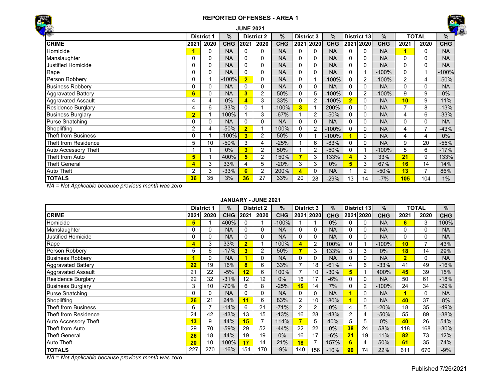



|                           |                |                   |               | <b>JUNE 2021</b> |                   |               |                   |                |            |                |                    |            |                |                | <b>RE</b>  |
|---------------------------|----------------|-------------------|---------------|------------------|-------------------|---------------|-------------------|----------------|------------|----------------|--------------------|------------|----------------|----------------|------------|
|                           |                | <b>District 1</b> | $\frac{9}{6}$ |                  | <b>District 2</b> | $\frac{9}{6}$ | <b>District 3</b> |                | $\%$       |                | <b>District 13</b> | %          |                | <b>TOTAL</b>   | %          |
| <b>CRIME</b>              | 2021           | 2020              | <b>CHG</b>    | 2021             | 2020              | <b>CHG</b>    |                   | 2021 2020      | <b>CHG</b> |                | 2021 2020          | <b>CHG</b> | 2021           | 2020           | <b>CHG</b> |
| Homicide                  |                | 0                 | <b>NA</b>     | $\Omega$         | $\mathbf{0}$      | <b>NA</b>     | 0                 | 0              | <b>NA</b>  | $\mathbf{0}$   | 0                  | <b>NA</b>  | и              | 0              | <b>NA</b>  |
| Manslaughter              | 0              | 0                 | <b>NA</b>     | $\Omega$         | 0                 | <b>NA</b>     | $\Omega$          | 0              | <b>NA</b>  | 0              | $\Omega$           | <b>NA</b>  | 0              | $\Omega$       | <b>NA</b>  |
| Justified Homicide        | $\Omega$       | 0                 | <b>NA</b>     | $\Omega$         | $\Omega$          | <b>NA</b>     | $\Omega$          | 0              | <b>NA</b>  | 0              | $\Omega$           | <b>NA</b>  | 0              | $\Omega$       | <b>NA</b>  |
| Rape                      | 0              | 0                 | <b>NA</b>     | $\Omega$         | $\Omega$          | <b>NA</b>     | 0                 | 0              | <b>NA</b>  | $\mathbf{0}$   | 1                  | $-100%$    | 0              | 1              | 100%       |
| Person Robbery            | 0              |                   | $-100%$       | $\overline{2}$   | 0                 | <b>NA</b>     | $\Omega$          |                | $-100%$    | $\Omega$       | 2                  | $-100%$    | $\overline{2}$ | 4              | $-50%$     |
| <b>Business Robbery</b>   | 0              | 0                 | <b>NA</b>     | $\Omega$         | $\Omega$          | <b>NA</b>     | 0                 | 0              | <b>NA</b>  | $\mathbf{0}$   | $\Omega$           | <b>NA</b>  | 0              | 0              | <b>NA</b>  |
| <b>Aggravated Battery</b> | 6              | 0                 | <b>NA</b>     | 3                | 2                 | 50%           | 0                 | 5              | $-100%$    | $\Omega$       | 2                  | $-100%$    | 9              | 9              | $0\%$      |
| Aggravated Assault        | 4              | 4                 | $0\%$         | 4                | 3                 | 33%           | 0                 | 2              | $-100%$    | $\overline{2}$ | $\mathbf{0}$       | <b>NA</b>  | 10             | 9              | 11%        |
| <b>Residence Burglary</b> | 4              | 6                 | $-33%$        | $\Omega$         |                   | $-100%$       | 3                 |                | 200%       | $\Omega$       | $\Omega$           | <b>NA</b>  | 7              | 8              | $-13%$     |
| <b>Business Burglary</b>  | $\overline{2}$ |                   | 100%          |                  | 3                 | $-67%$        |                   | 2              | $-50%$     | $\Omega$       | $\Omega$           | <b>NA</b>  | 4              | 6              | $-33%$     |
| <b>Purse Snatching</b>    | 0              | 0                 | <b>NA</b>     | $\Omega$         | $\Omega$          | <b>NA</b>     | 0                 | 0              | <b>NA</b>  | $\Omega$       | $\Omega$           | <b>NA</b>  | 0              | 0              | <b>NA</b>  |
| Shoplifting               | 2              | 4                 | $-50%$        | $\overline{2}$   |                   | 100%          | $\Omega$          | $\overline{2}$ | $-100%$    | 0              | 0                  | <b>NA</b>  | 4              | $\overline{ }$ | $-43%$     |
| Theft from Business       | $\Omega$       |                   | $-100\%$      | 3                | 2                 | 50%           | 0                 |                | $-100%$    |                | $\Omega$           | <b>NA</b>  | 4              | 4              | $0\%$      |
| Theft from Residence      | 5              | 10                | $-50%$        | 3                | 4                 | $-25%$        |                   | 6              | $-83%$     | $\Omega$       | 0                  | <b>NA</b>  | 9              | 20             | $-55%$     |
| Auto Accessory Theft      |                |                   | $0\%$         | 3                | $\overline{2}$    | 50%           |                   | $\overline{2}$ | $-50%$     | 0              |                    | $-100%$    | 5              | 6              | $-17%$     |
| Theft from Auto           | 5              |                   | 400%          | 5                | 2                 | 150%          |                   | 3              | 133%       | 4              | 3                  | 33%        | 21             | 9              | 133%       |
| <b>Theft General</b>      | 4              | 3                 | 33%           | 4                | 5                 | $-20%$        | 3                 | 3              | $0\%$      | 5              | 3                  | 67%        | 16             | 14             | 14%        |
| Auto Theft                | $\overline{2}$ | 3                 | $-33%$        | 6                | 2                 | 200%          | 4                 | 0              | <b>NA</b>  |                | 2                  | $-50%$     | 13             | $\overline{7}$ | 86%        |
| <b>TOTALS</b>             | 36             | 35                | 3%            | 36               | 27                | 33%           | 20                | 28             | $-29%$     | 13             | 14                 | $-7%$      | 105            | 104            | $1\%$      |

*NA = Not Applicable because previous month was zero*

#### **JANUARY - JUNE 2021**

|                           |      | <b>District 1</b> | $\frac{9}{6}$ |                         | <b>District 2</b> | $\%$       | <b>District 3</b>       |           | $\frac{0}{0}$ |                 | District 13 | %          |                | <b>TOTAL</b> | %          |
|---------------------------|------|-------------------|---------------|-------------------------|-------------------|------------|-------------------------|-----------|---------------|-----------------|-------------|------------|----------------|--------------|------------|
| <b>CRIME</b>              | 2021 | 2020              | <b>CHG</b>    | 2021                    | 2020              | <b>CHG</b> |                         | 2021 2020 | <b>CHG</b>    |                 | 2021 2020   | <b>CHG</b> | 2021           | 2020         | <b>CHG</b> |
| Homicide                  | 5    |                   | 400%          |                         |                   | $-100%$    |                         |           | 0%            |                 | 0           | <b>NA</b>  | 6              | 3            | 100%       |
| Manslaughter              | 0    | 0                 | <b>NA</b>     | $\Omega$                | 0                 | <b>NA</b>  | 0                       | 0         | <b>NA</b>     | 0               | 0           | <b>NA</b>  | 0              | 0            | <b>NA</b>  |
| <b>Justified Homicide</b> | 0    | 0                 | <b>NA</b>     | $\Omega$                | 0                 | <b>NA</b>  | 0                       | 0         | <b>NA</b>     | 0               | $\Omega$    | <b>NA</b>  | 0              | 0            | <b>NA</b>  |
| Rape                      | 4    | 3                 | 33%           | $\overline{\mathbf{2}}$ |                   | 100%       | 4                       | 2         | 100%          | 0               |             | $-100%$    | 10             |              | 43%        |
| Person Robbery            | 5    | 6                 | $-17%$        | 3                       | 2                 | 50%        | $\overline{\mathbf{z}}$ | 3         | 133%          | 3               | 3           | $0\%$      | 18             | 14           | 29%        |
| <b>Business Robbery</b>   |      | 0                 | <b>NA</b>     |                         | 0                 | <b>NA</b>  | 0                       | 0         | <b>NA</b>     | 0               | 0           | <b>NA</b>  | $\overline{2}$ | 0            | <b>NA</b>  |
| <b>Aggravated Battery</b> | 22   | 19                | 16%           | 8                       | 6                 | 33%        |                         | 18        | $-61%$        | 4               | 6           | $-33%$     | 41             | 49           | $-16%$     |
| <b>Aggravated Assault</b> | 21   | 22                | $-5%$         | 12                      | 6                 | 100%       |                         | 10        | $-30\%$       | 5               |             | 400%       | 45             | 39           | 15%        |
| <b>Residence Burglary</b> | 22   | 32                | $-31%$        | 12                      | 12                | 0%         | 16                      | 17        | $-6%$         | 0               | $\Omega$    | <b>NA</b>  | 50             | 61           | $-18%$     |
| <b>Business Burglary</b>  | 3    | 10                | $-70%$        | 6                       | 8                 | $-25%$     | 15                      | 14        | 7%            | 0               | 2           | $-100%$    | 24             | 34           | $-29%$     |
| <b>Purse Snatching</b>    | 0    | 0                 | <b>NA</b>     | $\Omega$                | 0                 | <b>NA</b>  | 0                       | 0         | <b>NA</b>     |                 | $\Omega$    | <b>NA</b>  | 1              | $\Omega$     | <b>NA</b>  |
| Shoplifting               | 26   | 21                | 24%           | 11                      | 6                 | 83%        | 2                       | 10        | $-80%$        |                 | 0           | <b>NA</b>  | 40             | 37           | 8%         |
| Theft from Business       | 6    | $\overline{ }$    | $-14%$        | 6                       | 21                | $-71%$     | $\overline{2}$          | 2         | $0\%$         | 4               | 5           | $-20%$     | 18             | 35           | $-49%$     |
| Theft from Residence      | 24   | 42                | $-43%$        | 13                      | 15                | $-13%$     | 16                      | 28        | $-43%$        | 2               | 4           | $-50%$     | 55             | 89           | $-38%$     |
| Auto Accessory Theft      | 13   | 9                 | 44%           | 15                      | 7                 | 114%       |                         | 5         | 40%           | 5               | 5           | $0\%$      | 40             | 26           | 54%        |
| Theft from Auto           | 29   | 70                | $-59%$        | 29                      | 52                | -44%       | 22                      | 22        | $0\%$         | 38              | 24          | 58%        | 118            | 168          | $-30%$     |
| <b>Theft General</b>      | 26   | 18                | 44%           | 19                      | 19                | 0%         | 16                      | 17        | $-6%$         | 21              | 19          | 11%        | 82             | 73           | 12%        |
| <b>Auto Theft</b>         | 20   | 10                | 100%          | 17                      | 14                | 21%        | 18                      |           | 157%          | 6               | 4           | 50%        | 61             | 35           | 74%        |
| <b>TOTALS</b>             | 227  | 270               | $-16%$        | 154                     | 170               | $-9%$      | 140                     | 156       | $-10%$        | 90 <sub>1</sub> | 74          | 22%        | 611            | 670          | $-9%$      |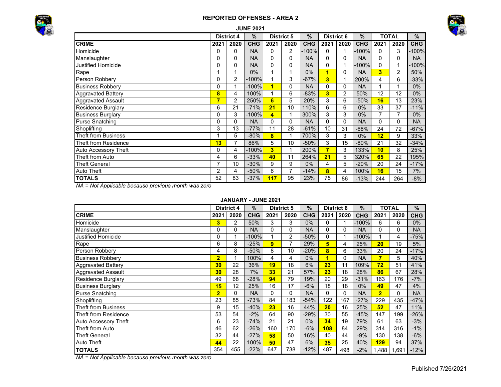



|                             |                |                   | <b>JUNE 2021</b> |                         |                   |            |                |                   |               |          |              |            |
|-----------------------------|----------------|-------------------|------------------|-------------------------|-------------------|------------|----------------|-------------------|---------------|----------|--------------|------------|
|                             |                | <b>District 4</b> | $\%$             |                         | <b>District 5</b> | $\%$       |                | <b>District 6</b> | $\frac{0}{0}$ |          | <b>TOTAL</b> | $\%$       |
| <b>CRIME</b>                | 2021           | 2020              | <b>CHG</b>       | 2021                    | 2020              | <b>CHG</b> | 2021           | 2020              | <b>CHG</b>    | 2021     | 2020         | <b>CHG</b> |
| Homicide                    | 0              | 0                 | <b>NA</b>        | 0                       | 2                 | $-100%$    | 0              |                   | $-100%$       | $\Omega$ | 3            | $-100%$    |
| Manslaughter                | 0              | 0                 | <b>NA</b>        | 0                       | 0                 | <b>NA</b>  | 0              | 0                 | <b>NA</b>     | 0        | $\Omega$     | <b>NA</b>  |
| <b>Justified Homicide</b>   | 0              | 0                 | <b>NA</b>        | 0                       | 0                 | <b>NA</b>  | 0              |                   | $-100%$       | 0        | 1            | $-100%$    |
| Rape                        |                | 4                 | 0%               | 1                       | 1                 | $0\%$      | $\overline{1}$ | 0                 | <b>NA</b>     | 3        | 2            | 50%        |
| Person Robbery              | 0              | $\overline{c}$    | $-100%$          | 1                       | 3                 | $-67%$     | 3              |                   | 200%          | 4        | 6            | $-33%$     |
| <b>Business Robbery</b>     | 0              |                   | $-100\%$         | $\overline{\mathbf{1}}$ | 0                 | <b>NA</b>  | 0              | 0                 | <b>NA</b>     |          |              | 0%         |
| <b>Aggravated Battery</b>   | 8              | 4                 | 100%             |                         | 6                 | $-83%$     | 3              | 2                 | 50%           | 12       | 12           | $0\%$      |
| <b>Aggravated Assault</b>   | 7              | 2                 | 250%             | $6\phantom{a}$          | 5                 | 20%        | 3              | 6                 | $-50%$        | 16       | 13           | 23%        |
| <b>Residence Burglary</b>   | 6              | 21                | $-71%$           | 21                      | 10                | 110%       | 6              | 6                 | $0\%$         | 33       | 37           | $-11%$     |
| <b>Business Burglary</b>    | 0              | 3                 | $-100\%$         | 4                       | 1                 | 300%       | 3              | 3                 | 0%            | 7        | 7            | $0\%$      |
| <b>Purse Snatching</b>      | 0              | 0                 | <b>NA</b>        | $\Omega$                | $\Omega$          | <b>NA</b>  | 0              | 0                 | <b>NA</b>     | 0        | 0            | <b>NA</b>  |
| Shoplifting                 | 3              | 13                | $-77%$           | 11                      | 28                | $-61%$     | 10             | 31                | $-68%$        | 24       | 72           | $-67%$     |
| <b>Theft from Business</b>  |                | 5                 | $-80%$           | 8                       | 1                 | 700%       | 3              | 3                 | $0\%$         | 12       | 9            | 33%        |
| <b>Theft from Residence</b> | 13             | 7                 | 86%              | 5                       | 10                | $-50%$     | 3              | 15                | $-80%$        | 21       | 32           | $-34%$     |
| Auto Accessory Theft        | 0              | 4                 | $-100%$          | 3                       | 1                 | 200%       | $\overline{7}$ | 3                 | 133%          | 10       | 8            | 25%        |
| Theft from Auto             | 4              | 6                 | -33%             | 40                      | 11                | 264%       | 21             | 5                 | 320%          | 65       | 22           | 195%       |
| <b>Theft General</b>        | $\overline{ }$ | 10                | $-30%$           | 9                       | 9                 | $0\%$      | 4              | 5                 | $-20%$        | 20       | 24           | $-17%$     |
| <b>Auto Theft</b>           | $\overline{2}$ | 4                 | $-50%$           | 6                       | 7                 | $-14%$     | 8              | 4                 | 100%          | 16       | 15           | 7%         |
| <b>TOTALS</b>               | 52             | 83                | $-37%$           | 117                     | 95                | 23%        | 75             | 86                | $-13%$        | 244      | 264          | $-8%$      |

*NA = Not Applicable because previous month was zero*

### **JANUARY - JUNE 2021**

|                            |                | <b>District 4</b> | $\%$       |                | <b>District 5</b> | $\%$       | <b>District 6</b> |      | %          |                | TOTAL | %          |
|----------------------------|----------------|-------------------|------------|----------------|-------------------|------------|-------------------|------|------------|----------------|-------|------------|
| <b>CRIME</b>               | 2021           | 2020              | <b>CHG</b> | 2021           | 2020              | <b>CHG</b> | 2021              | 2020 | <b>CHG</b> | 2021           | 2020  | <b>CHG</b> |
| Homicide                   | 3              | 2                 | 50%        | 3              | 3                 | 0%         | 0                 |      | $-100%$    | 6              | 6     | 0%         |
| Manslaughter               | 0              | $\Omega$          | <b>NA</b>  | 0              | 0                 | <b>NA</b>  | $\Omega$          | 0    | <b>NA</b>  | 0              | 0     | <b>NA</b>  |
| <b>Justified Homicide</b>  | $\mathbf{0}$   | 1                 | $-100%$    | 1              | $\overline{2}$    | $-50%$     | $\Omega$          |      | $-100%$    |                | 4     | $-75%$     |
| Rape                       | 6              | 8                 | $-25%$     | $\overline{9}$ | 7                 | 29%        | 5                 | 4    | 25%        | 20             | 19    | 5%         |
| Person Robbery             | 4              | 8                 | $-50%$     | 8              | 10                | $-20%$     | 8                 | 6    | 33%        | 20             | 24    | $-17%$     |
| <b>Business Robbery</b>    | $\overline{2}$ | 1                 | 100%       | 4              | 4                 | $0\%$      | 1                 | 0    | <b>NA</b>  | 7              | 5     | 40%        |
| <b>Aggravated Battery</b>  | 30             | 22                | 36%        | 19             | 18                | 6%         | 23                | 11   | 109%       | 72             | 51    | 41%        |
| Aggravated Assault         | 30             | 28                | 7%         | 33             | 21                | 57%        | 23                | 18   | 28%        | 86             | 67    | 28%        |
| Residence Burglary         | 49             | 68                | $-28%$     | 94             | 79                | 19%        | 20                | 29   | $-31%$     | 163            | 176   | $-7%$      |
| <b>Business Burglary</b>   | 15             | 12                | 25%        | 16             | 17                | $-6%$      | 18                | 18   | 0%         | 49             | 47    | 4%         |
| <b>Purse Snatching</b>     | $\overline{2}$ | 0                 | <b>NA</b>  | 0              | 0                 | <b>NA</b>  | $\Omega$          | 0    | <b>NA</b>  | $\overline{2}$ | 0     | <b>NA</b>  |
| Shoplifting                | 23             | 85                | $-73%$     | 84             | 183               | $-54%$     | 122               | 167  | $-27%$     | 229            | 435   | $-47%$     |
| <b>Theft from Business</b> | 9              | 15                | $-40%$     | 23             | 16                | 44%        | 20                | 16   | 25%        | 52             | 47    | 11%        |
| Theft from Residence       | 53             | 54                | $-2%$      | 64             | 90                | $-29%$     | 30                | 55   | $-45%$     | 147            | 199   | $-26%$     |
| Auto Accessory Theft       | 6              | 23                | $-74%$     | 21             | 21                | $0\%$      | 34                | 19   | 79%        | 61             | 63    | $-3%$      |
| Theft from Auto            | 46             | 62                | $-26%$     | 160            | 170               | $-6%$      | 108               | 84   | 29%        | 314            | 316   | $-1%$      |
| <b>Theft General</b>       | 32             | 44                | $-27%$     | 58             | 50                | 16%        | 40                | 44   | $-9%$      | 130            | 138   | $-6%$      |
| Auto Theft                 | 44             | 22                | 100%       | 50             | 47                | 6%         | 35                | 25   | 40%        | 129            | 94    | 37%        |
| <b>TOTALS</b>              | 354            | 455               | $-22%$     | 647            | 738               | $-12%$     | 487               | 498  | $-2%$      | 1,488          | 1,691 | $-12%$     |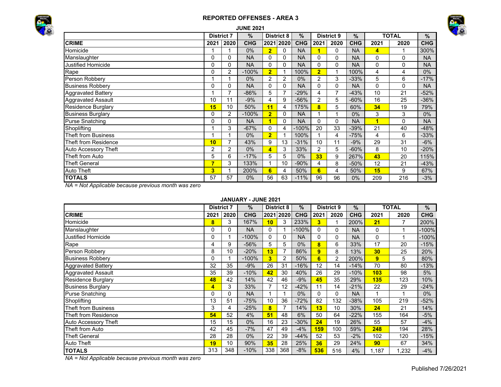



| <b>JUNE 2021</b>            |                         |                   |            |                |                   |            |                |            |            |          |              |            |  |
|-----------------------------|-------------------------|-------------------|------------|----------------|-------------------|------------|----------------|------------|------------|----------|--------------|------------|--|
|                             |                         | <b>District 7</b> | $\%$       |                | <b>District 8</b> | $\%$       |                | District 9 | $\%$       |          | <b>TOTAL</b> | %          |  |
| <b>CRIME</b>                | 2021                    | 2020              | <b>CHG</b> |                | 2021 2020         | <b>CHG</b> | 2021           | 2020       | <b>CHG</b> | 2021     | 2020         | <b>CHG</b> |  |
| Homicide                    |                         |                   | $0\%$      | $\overline{2}$ | 0                 | <b>NA</b>  |                | 0          | <b>NA</b>  | 4        |              | 300%       |  |
| Manslaughter                | 0                       | 0                 | <b>NA</b>  | 0              | 0                 | <b>NA</b>  | 0              | 0          | <b>NA</b>  | 0        | 0            | <b>NA</b>  |  |
| <b>Justified Homicide</b>   | 0                       | 0                 | <b>NA</b>  | $\mathbf{0}$   | 0                 | <b>NA</b>  | 0              | 0          | <b>NA</b>  | 0        | 0            | <b>NA</b>  |  |
| Rape                        | 0                       | 2                 | $-100%$    | $\overline{2}$ |                   | 100%       | $\overline{2}$ |            | 100%       | 4        | 4            | $0\%$      |  |
| Person Robbery              |                         |                   | $0\%$      | 2              | 2                 | $0\%$      | 2              | 3          | $-33%$     | 5        | 6            | $-17%$     |  |
| <b>Business Robbery</b>     | 0                       | 0                 | <b>NA</b>  | 0              | 0                 | <b>NA</b>  | 0              | 0          | <b>NA</b>  | $\Omega$ | 0            | <b>NA</b>  |  |
| <b>Aggravated Battery</b>   | 1                       | $\overline{ }$    | $-86%$     | 5              | $\overline{7}$    | $-29%$     | 4              | 7          | $-43%$     | 10       | 21           | $-52%$     |  |
| <b>Aggravated Assault</b>   | 10                      | 11                | $-9%$      | 4              | 9                 | $-56%$     | 2              | 5          | $-60%$     | 16       | 25           | $-36%$     |  |
| Residence Burglary          | 15                      | 10                | 50%        | 11             | 4                 | 175%       | 8              | 5          | 60%        | 34       | 19           | 79%        |  |
| <b>Business Burglary</b>    | 0                       | 2                 | $-100%$    | $\overline{2}$ | $\Omega$          | <b>NA</b>  |                |            | $0\%$      | 3        | 3            | $0\%$      |  |
| <b>Purse Snatching</b>      | 0                       | 0                 | <b>NA</b>  | 1              | 0                 | <b>NA</b>  | $\Omega$       | $\Omega$   | <b>NA</b>  | 1        | 0            | <b>NA</b>  |  |
| Shoplifting                 | $\overline{\mathbf{A}}$ | 3                 | $-67%$     | $\mathbf{0}$   | 4                 | $-100%$    | 20             | 33         | $-39%$     | 21       | 40           | -48%       |  |
| <b>Theft from Business</b>  | 1                       |                   | $0\%$      | $\overline{2}$ |                   | 100%       |                | 4          | $-75%$     | 4        | 6            | -33%       |  |
| Theft from Residence        | 10                      | $\overline{ }$    | 43%        | 9              | 13                | $-31%$     | 10             | 11         | $-9%$      | 29       | 31           | $-6\%$     |  |
| <b>Auto Accessory Theft</b> | 2                       | 2                 | 0%         | 4              | 3                 | 33%        | $\overline{2}$ | 5          | $-60%$     | 8        | 10           | $-20%$     |  |
| Theft from Auto             | 5                       | 6                 | $-17%$     | 5              | 5                 | $0\%$      | 33             | 9          | 267%       | 43       | 20           | 115%       |  |
| <b>Theft General</b>        | $\overline{7}$          | 3                 | 133%       |                | 10                | $-90%$     | 4              | 8          | $-50%$     | 12       | 21           | $-43%$     |  |
| Auto Theft                  | 3                       |                   | 200%       | 6              | 4                 | 50%        | 6              | 4          | 50%        | 15       | 9            | 67%        |  |
| <b>TOTALS</b>               | 57                      | 57                | $0\%$      | 56             | 63                | $-11%$     | 96             | 96         | $0\%$      | 209      | 216          | $-3%$      |  |

*NA = Not Applicable because previous month was zero*

### **JANUARY - JUNE 2021**

|                            | <b>District 7</b> |      | $\%$       |                         | <b>District 8</b> | $\%$       |      | <b>District 9</b> | $\%$       |                 | <b>TOTAL</b> | %          |
|----------------------------|-------------------|------|------------|-------------------------|-------------------|------------|------|-------------------|------------|-----------------|--------------|------------|
| <b>CRIME</b>               | 2021              | 2020 | <b>CHG</b> | 2021                    | 2020              | <b>CHG</b> | 2021 | 2020              | <b>CHG</b> | 2021            | 2020         | <b>CHG</b> |
| Homicide                   | 8                 | 3    | 167%       | 10                      | 3                 | 233%       | 3    |                   | 200%       | 21              |              | 200%       |
| Manslaughter               | 0                 | 0    | <b>NA</b>  | $\Omega$                |                   | -100%      | 0    | $\Omega$          | <b>NA</b>  | 0               |              | $-100%$    |
| Justified Homicide         | 0                 |      | $-100%$    | $\Omega$                | 0                 | <b>NA</b>  | 0    | $\Omega$          | <b>NA</b>  | 0               |              | $-100%$    |
| Rape                       | 4                 | 9    | -56%       | 5                       | 5                 | 0%         | 8    | 6                 | 33%        | 17              | 20           | $-15%$     |
| Person Robbery             | 8                 | 10   | $-20%$     | 13                      | $\overline{7}$    | 86%        | 9    | 8                 | 13%        | 30              | 25           | 20%        |
| <b>Business Robbery</b>    |                   |      | $-100%$    | $\overline{\mathbf{3}}$ | 2                 | 50%        | 6    | $\overline{2}$    | 200%       | 9               | 5            | 80%        |
| <b>Aggravated Battery</b>  | 32                | 35   | $-9%$      | 26                      | 31                | $-16%$     | 12   | 14                | $-14%$     | 70              | 80           | $-13%$     |
| <b>Aggravated Assault</b>  | 35                | 39   | $-10%$     | 42                      | 30                | 40%        | 26   | 29                | $-10%$     | 103             | 98           | 5%         |
| Residence Burglary         | 48                | 42   | 14%        | 42                      | 46                | $-9%$      | 45   | 35                | 29%        | 135             | 123          | 10%        |
| <b>Business Burglary</b>   | 4                 | 3    | 33%        | $\overline{7}$          | 12                | $-42%$     | 11   | 14                | $-21%$     | 22              | 29           | $-24%$     |
| <b>Purse Snatching</b>     | 0                 | 0    | <b>NA</b>  | $\overline{A}$          |                   | 0%         | 0    | $\Omega$          | <b>NA</b>  | 1               |              | 0%         |
| Shoplifting                | 13                | 51   | $-75%$     | 10                      | 36                | $-72%$     | 82   | 132               | $-38%$     | 105             | 219          | $-52%$     |
| <b>Theft from Business</b> | 3                 | 4    | $-25%$     | 8                       | $\overline{7}$    | 14%        | 13   | 10                | 30%        | 24              | 21           | 14%        |
| Theft from Residence       | 54                | 52   | 4%         | 51                      | 48                | 6%         | 50   | 64                | $-22%$     | 155             | 164          | $-5%$      |
| Auto Accessory Theft       | 15                | 15   | 0%         | 16                      | 23                | $-30%$     | 24   | 19                | 26%        | 55              | 57           | $-4%$      |
| Theft from Auto            | 42                | 45   | $-7%$      | 47                      | 49                | $-4%$      | 159  | 100               | 59%        | 248             | 194          | 28%        |
| <b>Theft General</b>       | 28                | 28   | $0\%$      | 22                      | 39                | $-44%$     | 52   | 53                | $-2%$      | 102             | 120          | $-15%$     |
| Auto Theft                 | 19                | 10   | 90%        | 35                      | 28                | 25%        | 36   | 29                | 24%        | 90 <sub>o</sub> | 67           | 34%        |
| <b>TOTALS</b>              | 313               | 348  | $-10%$     | 338                     | 368               | $-8%$      | 536  | 516               | 4%         | 1,187           | 1,232        | $-4%$      |